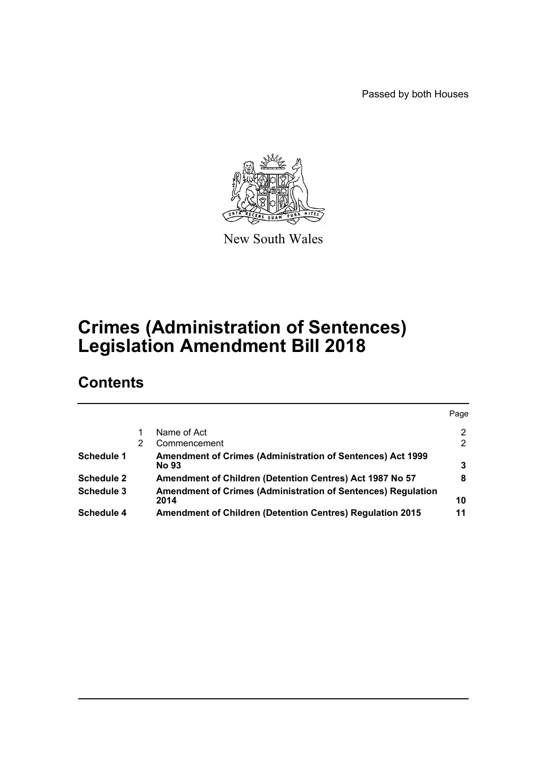Passed by both Houses



New South Wales

# **Crimes (Administration of Sentences) Legislation Amendment Bill 2018**

# **Contents**

|   |                                                                                   | Page         |
|---|-----------------------------------------------------------------------------------|--------------|
|   | Name of Act                                                                       | 2            |
| 2 | Commencement                                                                      | $\mathbf{2}$ |
|   | <b>Amendment of Crimes (Administration of Sentences) Act 1999</b><br><b>No 93</b> | 3            |
|   | Amendment of Children (Detention Centres) Act 1987 No 57                          | 8            |
|   | Amendment of Crimes (Administration of Sentences) Regulation<br>2014              | 10           |
|   | <b>Amendment of Children (Detention Centres) Regulation 2015</b>                  | 11           |
|   |                                                                                   |              |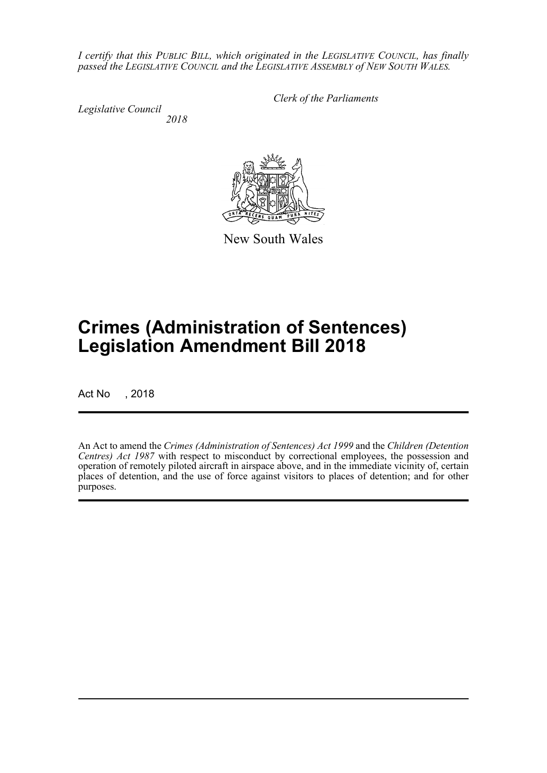*I certify that this PUBLIC BILL, which originated in the LEGISLATIVE COUNCIL, has finally passed the LEGISLATIVE COUNCIL and the LEGISLATIVE ASSEMBLY of NEW SOUTH WALES.*

*Legislative Council 2018* *Clerk of the Parliaments*

New South Wales

# **Crimes (Administration of Sentences) Legislation Amendment Bill 2018**

Act No , 2018

An Act to amend the *Crimes (Administration of Sentences) Act 1999* and the *Children (Detention Centres) Act 1987* with respect to misconduct by correctional employees, the possession and operation of remotely piloted aircraft in airspace above, and in the immediate vicinity of, certain places of detention, and the use of force against visitors to places of detention; and for other purposes.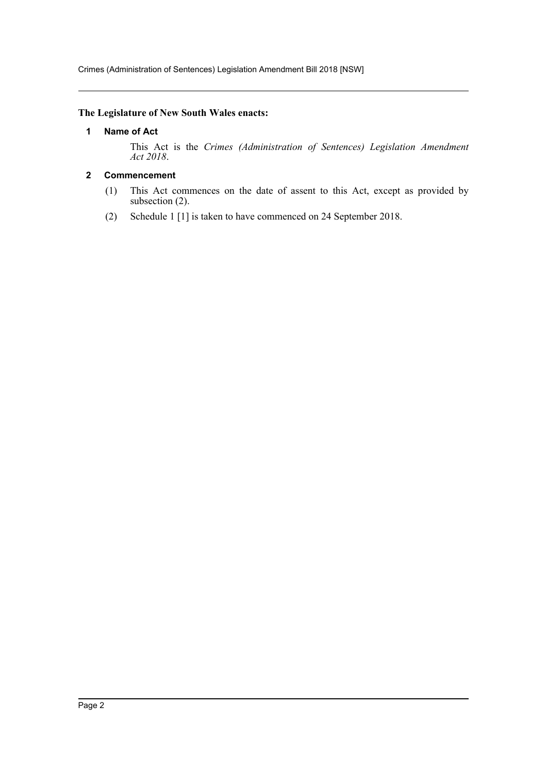Crimes (Administration of Sentences) Legislation Amendment Bill 2018 [NSW]

## <span id="page-2-0"></span>**The Legislature of New South Wales enacts:**

## **1 Name of Act**

This Act is the *Crimes (Administration of Sentences) Legislation Amendment Act 2018*.

## <span id="page-2-1"></span>**2 Commencement**

- (1) This Act commences on the date of assent to this Act, except as provided by subsection (2).
- (2) Schedule 1 [1] is taken to have commenced on 24 September 2018.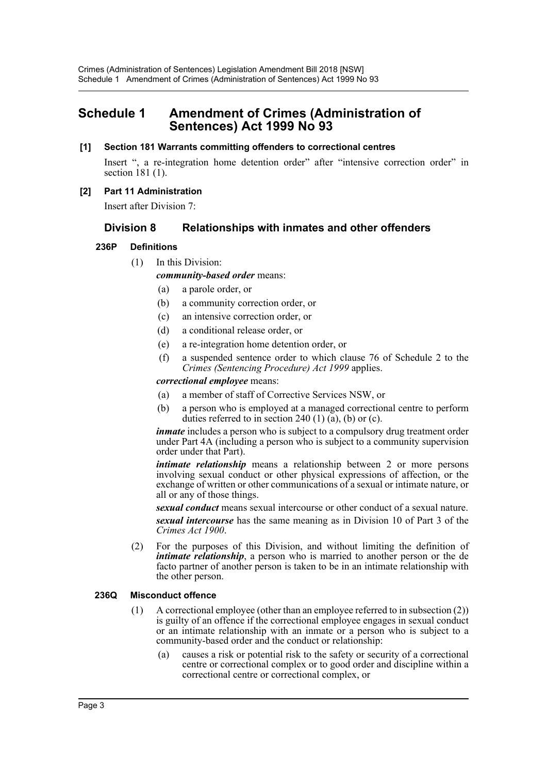## <span id="page-3-0"></span>**Schedule 1 Amendment of Crimes (Administration of Sentences) Act 1999 No 93**

## **[1] Section 181 Warrants committing offenders to correctional centres**

Insert ", a re-integration home detention order" after "intensive correction order" in section 181 (1).

## **[2] Part 11 Administration**

Insert after Division 7:

## **Division 8 Relationships with inmates and other offenders**

## **236P Definitions**

(1) In this Division:

*community-based order* means:

- (a) a parole order, or
- (b) a community correction order, or
- (c) an intensive correction order, or
- (d) a conditional release order, or
- (e) a re-integration home detention order, or
- (f) a suspended sentence order to which clause 76 of Schedule 2 to the *Crimes (Sentencing Procedure) Act 1999* applies.

#### *correctional employee* means:

- (a) a member of staff of Corrective Services NSW, or
- (b) a person who is employed at a managed correctional centre to perform duties referred to in section 240  $(1)$   $(a)$ ,  $(b)$  or  $(c)$ .

*inmate* includes a person who is subject to a compulsory drug treatment order under Part 4A (including a person who is subject to a community supervision order under that Part).

*intimate relationship* means a relationship between 2 or more persons involving sexual conduct or other physical expressions of affection, or the exchange of written or other communications of a sexual or intimate nature, or all or any of those things.

*sexual conduct* means sexual intercourse or other conduct of a sexual nature. *sexual intercourse* has the same meaning as in Division 10 of Part 3 of the *Crimes Act 1900*.

(2) For the purposes of this Division, and without limiting the definition of *intimate relationship*, a person who is married to another person or the de facto partner of another person is taken to be in an intimate relationship with the other person.

## **236Q Misconduct offence**

- (1) A correctional employee (other than an employee referred to in subsection (2)) is guilty of an offence if the correctional employee engages in sexual conduct or an intimate relationship with an inmate or a person who is subject to a community-based order and the conduct or relationship:
	- (a) causes a risk or potential risk to the safety or security of a correctional centre or correctional complex or to good order and discipline within a correctional centre or correctional complex, or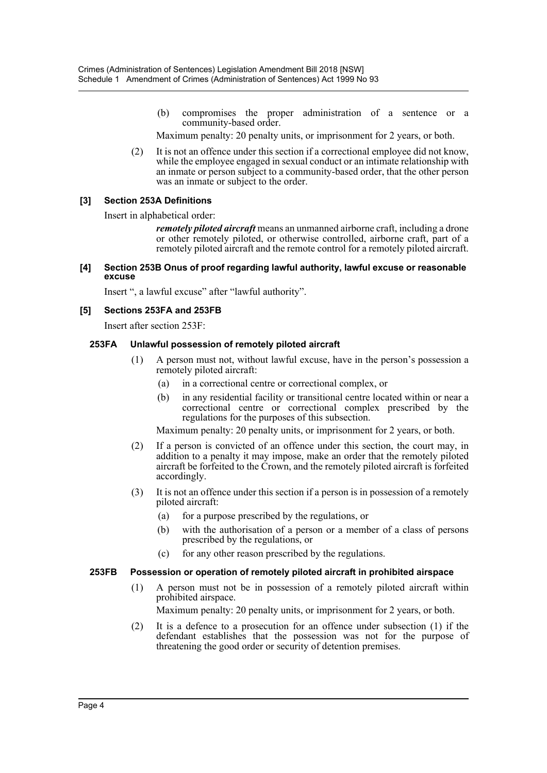(b) compromises the proper administration of a sentence or a community-based order.

Maximum penalty: 20 penalty units, or imprisonment for 2 years, or both.

(2) It is not an offence under this section if a correctional employee did not know, while the employee engaged in sexual conduct or an intimate relationship with an inmate or person subject to a community-based order, that the other person was an inmate or subject to the order.

## **[3] Section 253A Definitions**

Insert in alphabetical order:

*remotely piloted aircraft* means an unmanned airborne craft, including a drone or other remotely piloted, or otherwise controlled, airborne craft, part of a remotely piloted aircraft and the remote control for a remotely piloted aircraft.

**[4] Section 253B Onus of proof regarding lawful authority, lawful excuse or reasonable excuse**

Insert ", a lawful excuse" after "lawful authority".

## **[5] Sections 253FA and 253FB**

Insert after section 253F:

## **253FA Unlawful possession of remotely piloted aircraft**

- (1) A person must not, without lawful excuse, have in the person's possession a remotely piloted aircraft:
	- (a) in a correctional centre or correctional complex, or
	- (b) in any residential facility or transitional centre located within or near a correctional centre or correctional complex prescribed by the regulations for the purposes of this subsection.

Maximum penalty: 20 penalty units, or imprisonment for 2 years, or both.

- (2) If a person is convicted of an offence under this section, the court may, in addition to a penalty it may impose, make an order that the remotely piloted aircraft be forfeited to the Crown, and the remotely piloted aircraft is forfeited accordingly.
- (3) It is not an offence under this section if a person is in possession of a remotely piloted aircraft:
	- (a) for a purpose prescribed by the regulations, or
	- (b) with the authorisation of a person or a member of a class of persons prescribed by the regulations, or
	- (c) for any other reason prescribed by the regulations.

## **253FB Possession or operation of remotely piloted aircraft in prohibited airspace**

- (1) A person must not be in possession of a remotely piloted aircraft within prohibited airspace.
	- Maximum penalty: 20 penalty units, or imprisonment for 2 years, or both.
- (2) It is a defence to a prosecution for an offence under subsection (1) if the defendant establishes that the possession was not for the purpose of threatening the good order or security of detention premises.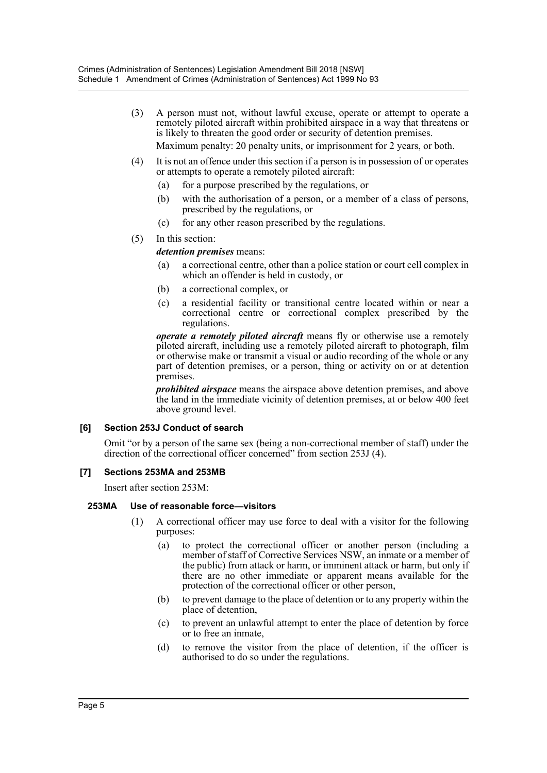(3) A person must not, without lawful excuse, operate or attempt to operate a remotely piloted aircraft within prohibited airspace in a way that threatens or is likely to threaten the good order or security of detention premises.

Maximum penalty: 20 penalty units, or imprisonment for 2 years, or both.

- (4) It is not an offence under this section if a person is in possession of or operates or attempts to operate a remotely piloted aircraft:
	- (a) for a purpose prescribed by the regulations, or
	- (b) with the authorisation of a person, or a member of a class of persons, prescribed by the regulations, or
	- (c) for any other reason prescribed by the regulations.
- (5) In this section:

## *detention premises* means:

- (a) a correctional centre, other than a police station or court cell complex in which an offender is held in custody, or
- (b) a correctional complex, or
- (c) a residential facility or transitional centre located within or near a correctional centre or correctional complex prescribed by the regulations.

*operate a remotely piloted aircraft* means fly or otherwise use a remotely piloted aircraft, including use a remotely piloted aircraft to photograph, film or otherwise make or transmit a visual or audio recording of the whole or any part of detention premises, or a person, thing or activity on or at detention premises.

*prohibited airspace* means the airspace above detention premises, and above the land in the immediate vicinity of detention premises, at or below 400 feet above ground level.

## **[6] Section 253J Conduct of search**

Omit "or by a person of the same sex (being a non-correctional member of staff) under the direction of the correctional officer concerned" from section 253J (4).

## **[7] Sections 253MA and 253MB**

Insert after section 253M:

## **253MA Use of reasonable force—visitors**

- (1) A correctional officer may use force to deal with a visitor for the following purposes:
	- (a) to protect the correctional officer or another person (including a member of staff of Corrective Services NSW, an inmate or a member of the public) from attack or harm, or imminent attack or harm, but only if there are no other immediate or apparent means available for the protection of the correctional officer or other person,
	- (b) to prevent damage to the place of detention or to any property within the place of detention,
	- (c) to prevent an unlawful attempt to enter the place of detention by force or to free an inmate,
	- (d) to remove the visitor from the place of detention, if the officer is authorised to do so under the regulations.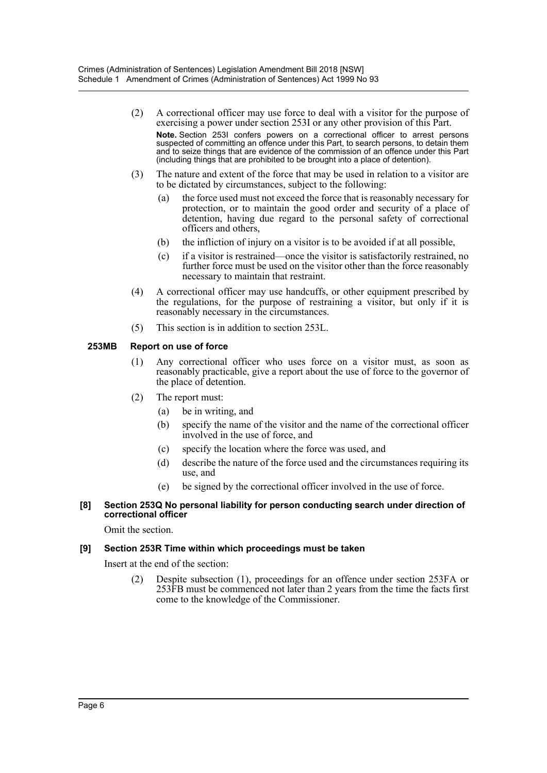- (2) A correctional officer may use force to deal with a visitor for the purpose of exercising a power under section 253I or any other provision of this Part. **Note.** Section 253I confers powers on a correctional officer to arrest persons suspected of committing an offence under this Part, to search persons, to detain them and to seize things that are evidence of the commission of an offence under this Part (including things that are prohibited to be brought into a place of detention).
- (3) The nature and extent of the force that may be used in relation to a visitor are to be dictated by circumstances, subject to the following:
	- (a) the force used must not exceed the force that is reasonably necessary for protection, or to maintain the good order and security of a place of detention, having due regard to the personal safety of correctional officers and others,
	- (b) the infliction of injury on a visitor is to be avoided if at all possible,
	- (c) if a visitor is restrained—once the visitor is satisfactorily restrained, no further force must be used on the visitor other than the force reasonably necessary to maintain that restraint.
- (4) A correctional officer may use handcuffs, or other equipment prescribed by the regulations, for the purpose of restraining a visitor, but only if it is reasonably necessary in the circumstances.
- (5) This section is in addition to section 253L.

## **253MB Report on use of force**

- (1) Any correctional officer who uses force on a visitor must, as soon as reasonably practicable, give a report about the use of force to the governor of the place of detention.
- (2) The report must:
	- (a) be in writing, and
	- (b) specify the name of the visitor and the name of the correctional officer involved in the use of force, and
	- (c) specify the location where the force was used, and
	- (d) describe the nature of the force used and the circumstances requiring its use, and
	- (e) be signed by the correctional officer involved in the use of force.

#### **[8] Section 253Q No personal liability for person conducting search under direction of correctional officer**

Omit the section.

## **[9] Section 253R Time within which proceedings must be taken**

Insert at the end of the section:

(2) Despite subsection (1), proceedings for an offence under section 253FA or 253FB must be commenced not later than 2 years from the time the facts first come to the knowledge of the Commissioner.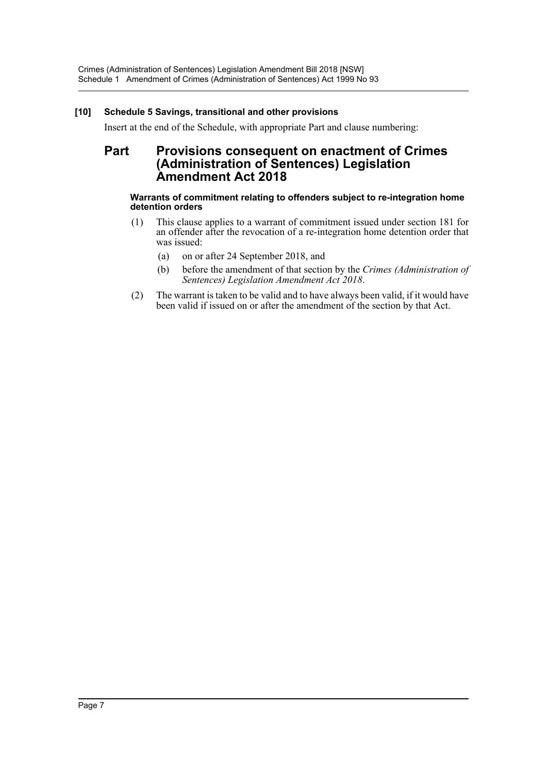## **[10] Schedule 5 Savings, transitional and other provisions**

Insert at the end of the Schedule, with appropriate Part and clause numbering:

## **Part Provisions consequent on enactment of Crimes (Administration of Sentences) Legislation Amendment Act 2018**

## **Warrants of commitment relating to offenders subject to re-integration home detention orders**

- (1) This clause applies to a warrant of commitment issued under section 181 for an offender after the revocation of a re-integration home detention order that was issued:
	- (a) on or after 24 September 2018, and
	- (b) before the amendment of that section by the *Crimes (Administration of Sentences) Legislation Amendment Act 2018*.
- (2) The warrant is taken to be valid and to have always been valid, if it would have been valid if issued on or after the amendment of the section by that Act.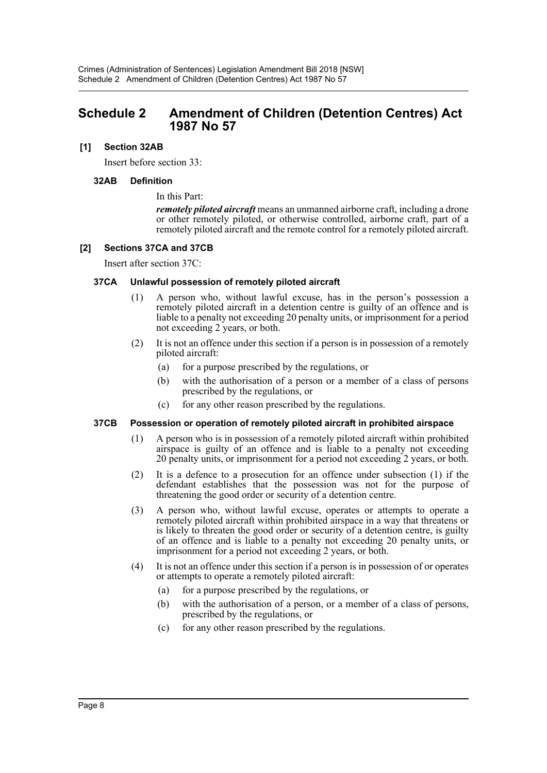## <span id="page-8-0"></span>**Schedule 2 Amendment of Children (Detention Centres) Act 1987 No 57**

## **[1] Section 32AB**

Insert before section 33:

#### **32AB Definition**

In this Part:

*remotely piloted aircraft* means an unmanned airborne craft, including a drone or other remotely piloted, or otherwise controlled, airborne craft, part of a remotely piloted aircraft and the remote control for a remotely piloted aircraft.

#### **[2] Sections 37CA and 37CB**

Insert after section 37C:

## **37CA Unlawful possession of remotely piloted aircraft**

- (1) A person who, without lawful excuse, has in the person's possession a remotely piloted aircraft in a detention centre is guilty of an offence and is liable to a penalty not exceeding 20 penalty units, or imprisonment for a period not exceeding 2 years, or both.
- (2) It is not an offence under this section if a person is in possession of a remotely piloted aircraft:
	- (a) for a purpose prescribed by the regulations, or
	- (b) with the authorisation of a person or a member of a class of persons prescribed by the regulations, or
	- (c) for any other reason prescribed by the regulations.

## **37CB Possession or operation of remotely piloted aircraft in prohibited airspace**

- (1) A person who is in possession of a remotely piloted aircraft within prohibited airspace is guilty of an offence and is liable to a penalty not exceeding 20 penalty units, or imprisonment for a period not exceeding 2 years, or both.
- (2) It is a defence to a prosecution for an offence under subsection (1) if the defendant establishes that the possession was not for the purpose of threatening the good order or security of a detention centre.
- (3) A person who, without lawful excuse, operates or attempts to operate a remotely piloted aircraft within prohibited airspace in a way that threatens or is likely to threaten the good order or security of a detention centre, is guilty of an offence and is liable to a penalty not exceeding 20 penalty units, or imprisonment for a period not exceeding 2 years, or both.
- (4) It is not an offence under this section if a person is in possession of or operates or attempts to operate a remotely piloted aircraft:
	- (a) for a purpose prescribed by the regulations, or
	- (b) with the authorisation of a person, or a member of a class of persons, prescribed by the regulations, or
	- (c) for any other reason prescribed by the regulations.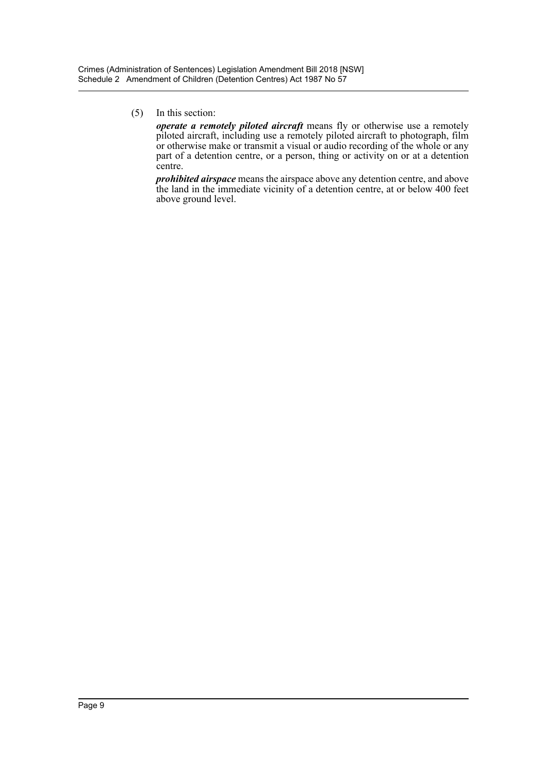(5) In this section:

*operate a remotely piloted aircraft* means fly or otherwise use a remotely piloted aircraft, including use a remotely piloted aircraft to photograph, film or otherwise make or transmit a visual or audio recording of the whole or any part of a detention centre, or a person, thing or activity on or at a detention centre.

*prohibited airspace* means the airspace above any detention centre, and above the land in the immediate vicinity of a detention centre, at or below 400 feet above ground level.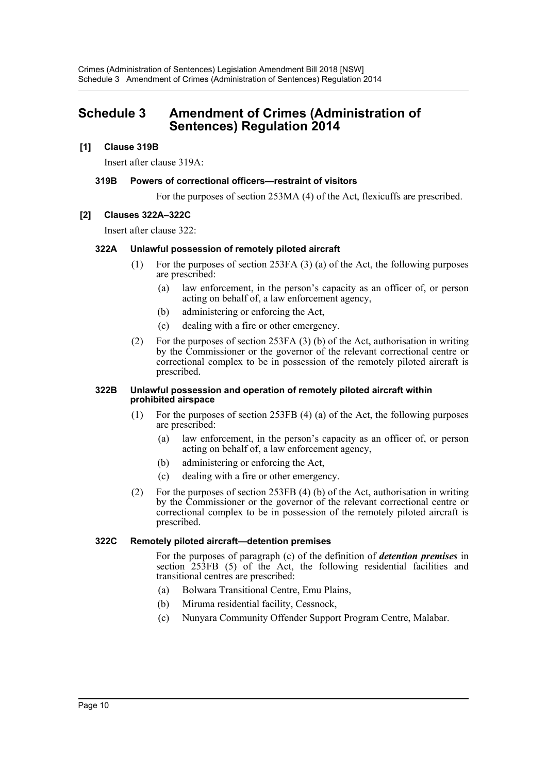# <span id="page-10-0"></span>**Schedule 3 Amendment of Crimes (Administration of Sentences) Regulation 2014**

## **[1] Clause 319B**

Insert after clause 319A:

## **319B Powers of correctional officers—restraint of visitors**

For the purposes of section 253MA (4) of the Act, flexicuffs are prescribed.

## **[2] Clauses 322A–322C**

Insert after clause 322:

## **322A Unlawful possession of remotely piloted aircraft**

- (1) For the purposes of section 253FA (3) (a) of the Act, the following purposes are prescribed:
	- (a) law enforcement, in the person's capacity as an officer of, or person acting on behalf of, a law enforcement agency,
	- (b) administering or enforcing the Act,
	- (c) dealing with a fire or other emergency.
- (2) For the purposes of section 253FA (3) (b) of the Act, authorisation in writing by the Commissioner or the governor of the relevant correctional centre or correctional complex to be in possession of the remotely piloted aircraft is prescribed.

#### **322B Unlawful possession and operation of remotely piloted aircraft within prohibited airspace**

- (1) For the purposes of section 253FB (4) (a) of the Act, the following purposes are prescribed:
	- (a) law enforcement, in the person's capacity as an officer of, or person acting on behalf of, a law enforcement agency,
	- (b) administering or enforcing the Act,
	- (c) dealing with a fire or other emergency.
- (2) For the purposes of section 253FB (4) (b) of the Act, authorisation in writing by the Commissioner or the governor of the relevant correctional centre or correctional complex to be in possession of the remotely piloted aircraft is prescribed.

## **322C Remotely piloted aircraft—detention premises**

For the purposes of paragraph (c) of the definition of *detention premises* in section 253FB (5) of the Act, the following residential facilities and transitional centres are prescribed:

- (a) Bolwara Transitional Centre, Emu Plains,
- (b) Miruma residential facility, Cessnock,
- (c) Nunyara Community Offender Support Program Centre, Malabar.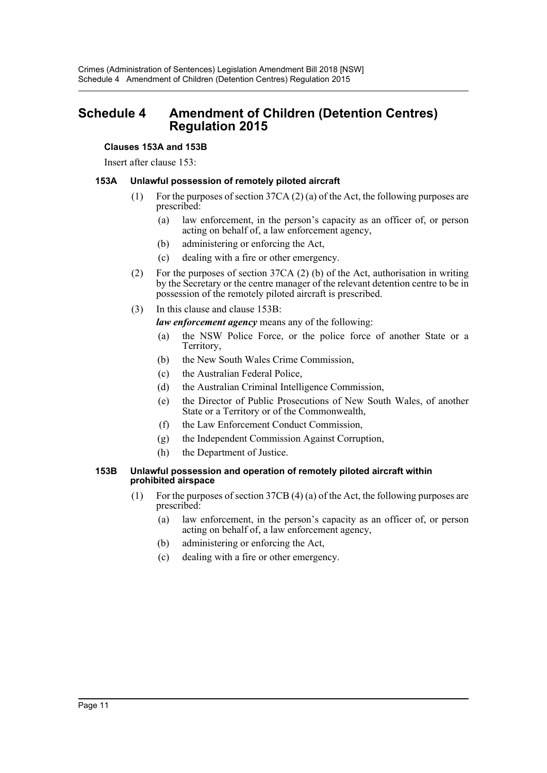# <span id="page-11-0"></span>**Schedule 4 Amendment of Children (Detention Centres) Regulation 2015**

## **Clauses 153A and 153B**

Insert after clause 153:

## **153A Unlawful possession of remotely piloted aircraft**

- (1) For the purposes of section 37CA (2) (a) of the Act, the following purposes are prescribed:
	- (a) law enforcement, in the person's capacity as an officer of, or person acting on behalf of, a law enforcement agency,
	- (b) administering or enforcing the Act,
	- (c) dealing with a fire or other emergency.
- (2) For the purposes of section 37CA (2) (b) of the Act, authorisation in writing by the Secretary or the centre manager of the relevant detention centre to be in possession of the remotely piloted aircraft is prescribed.
- (3) In this clause and clause 153B:

*law enforcement agency* means any of the following:

- (a) the NSW Police Force, or the police force of another State or a Territory,
- (b) the New South Wales Crime Commission,
- (c) the Australian Federal Police,
- (d) the Australian Criminal Intelligence Commission,
- (e) the Director of Public Prosecutions of New South Wales, of another State or a Territory or of the Commonwealth,
- (f) the Law Enforcement Conduct Commission,
- (g) the Independent Commission Against Corruption,
- (h) the Department of Justice.

#### **153B Unlawful possession and operation of remotely piloted aircraft within prohibited airspace**

- (1) For the purposes of section 37CB (4) (a) of the Act, the following purposes are prescribed:
	- (a) law enforcement, in the person's capacity as an officer of, or person acting on behalf of, a law enforcement agency,
	- (b) administering or enforcing the Act,
	- (c) dealing with a fire or other emergency.